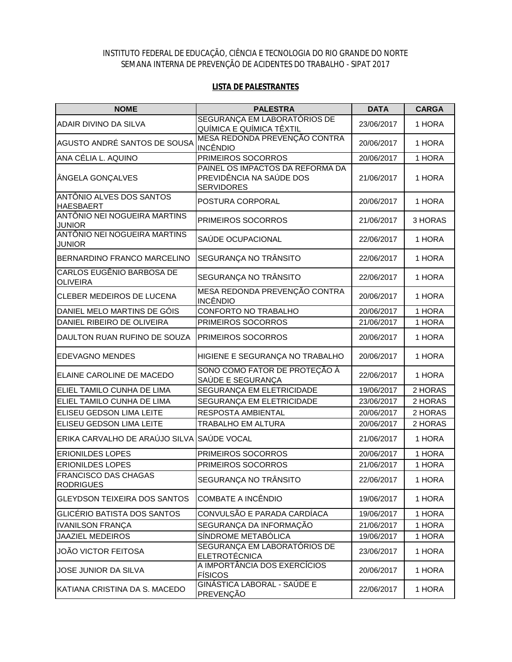## INSTITUTO FEDERAL DE EDUCAÇÃO, CIÊNCIA E TECNOLOGIA DO RIO GRANDE DO NORTE SEMANA INTERNA DE PREVENÇÃO DE ACIDENTES DO TRABALHO - SIPAT 2017

## **LISTA DE PALESTRANTES**

| <b>NOME</b>                                     | <b>PALESTRA</b>                                  | <b>DATA</b> | <b>CARGA</b> |
|-------------------------------------------------|--------------------------------------------------|-------------|--------------|
| <b>ADAIR DIVINO DA SILVA</b>                    | SEGURANÇA EM LABORATÓRIOS DE                     | 23/06/2017  | 1 HORA       |
|                                                 | QUÍMICA E QUÍMICA TÊXTIL                         |             |              |
| AGUSTO ANDRÉ SANTOS DE SOUSA                    | MESA REDONDA PREVENÇÃO CONTRA<br><b>INCÊNDIO</b> | 20/06/2017  | 1 HORA       |
| ANA CÉLIA L. AQUINO                             | PRIMEIROS SOCORROS                               | 20/06/2017  | 1 HORA       |
|                                                 | PAINEL OS IMPACTOS DA REFORMA DA                 |             |              |
| ÂNGELA GONÇALVES                                | PREVIDÊNCIA NA SAÚDE DOS                         | 21/06/2017  | 1 HORA       |
|                                                 | <b>SERVIDORES</b>                                |             |              |
| ANTÔNIO ALVES DOS SANTOS<br><b>HAESBAERT</b>    | POSTURA CORPORAL                                 | 20/06/2017  | 1 HORA       |
| ANTÔNIO NEI NOGUEIRA MARTINS<br><b>JUNIOR</b>   | PRIMEIROS SOCORROS                               | 21/06/2017  | 3 HORAS      |
| ANTÔNIO NEI NOGUEIRA MARTINS                    | SAÚDE OCUPACIONAL                                | 22/06/2017  | 1 HORA       |
| <b>JUNIOR</b>                                   |                                                  |             |              |
| <b>BERNARDINO FRANCO MARCELINO</b>              | SEGURANÇA NO TRÂNSITO                            | 22/06/2017  | 1 HORA       |
| CARLOS EUGÊNIO BARBOSA DE<br><b>OLIVEIRA</b>    | SEGURANÇA NO TRÂNSITO                            | 22/06/2017  | 1 HORA       |
|                                                 | MESA REDONDA PREVENÇÃO CONTRA                    | 20/06/2017  | 1 HORA       |
| <b>CLEBER MEDEIROS DE LUCENA</b>                | <b>INCÊNDIO</b>                                  |             |              |
| DANIEL MELO MARTINS DE GÓIS                     | CONFORTO NO TRABALHO                             | 20/06/2017  | 1 HORA       |
| DANIEL RIBEIRO DE OLIVEIRA                      | PRIMEIROS SOCORROS                               | 21/06/2017  | 1 HORA       |
| DAULTON RUAN RUFINO DE SOUZA                    | <b>PRIMEIROS SOCORROS</b>                        | 20/06/2017  | 1 HORA       |
| <b>EDEVAGNO MENDES</b>                          | HIGIENE E SEGURANÇA NO TRABALHO                  | 20/06/2017  | 1 HORA       |
| ELAINE CAROLINE DE MACEDO                       | SONO COMO FATOR DE PROTEÇÃO À                    | 22/06/2017  | 1 HORA       |
| ELIEL TAMILO CUNHA DE LIMA                      | SAÚDE E SEGURANÇA<br>SEGURANÇA EM ELETRICIDADE   | 19/06/2017  | 2 HORAS      |
| ELIEL TAMILO CUNHA DE LIMA                      | SEGURANÇA EM ELETRICIDADE                        | 23/06/2017  | 2 HORAS      |
| ELISEU GEDSON LIMA LEITE                        | RESPOSTA AMBIENTAL                               | 20/06/2017  | 2 HORAS      |
| ELISEU GEDSON LIMA LEITE                        | TRABALHO EM ALTURA                               | 20/06/2017  | 2 HORAS      |
|                                                 |                                                  |             |              |
| ERIKA CARVALHO DE ARAÚJO SILVA SAÚDE VOCAL      |                                                  | 21/06/2017  | 1 HORA       |
| <b>ERIONILDES LOPES</b>                         | PRIMEIROS SOCORROS                               | 20/06/2017  | 1 HORA       |
| <b>ERIONILDES LOPES</b>                         | PRIMEIROS SOCORROS                               | 21/06/2017  | 1 HORA       |
| <b>FRANCISCO DAS CHAGAS</b><br><b>RODRIGUES</b> | SEGURANÇA NO TRÂNSITO                            | 22/06/2017  | 1 HORA       |
| <b>GLEYDSON TEIXEIRA DOS SANTOS</b>             | <b>COMBATE A INCÊNDIO</b>                        | 19/06/2017  | 1 HORA       |
| GLICÉRIO BATISTA DOS SANTOS                     | CONVULSÃO E PARADA CARDÍACA                      | 19/06/2017  | 1 HORA       |
| <b>IVANILSON FRANÇA</b>                         | SEGURANÇA DA INFORMAÇÃO                          | 21/06/2017  | 1 HORA       |
| <b>JAAZIEL MEDEIROS</b>                         | SÍNDROME METABÓLICA                              | 19/06/2017  | 1 HORA       |
| <b>JOÃO VICTOR FEITOSA</b>                      | SEGURANÇA EM LABORATÓRIOS DE                     | 23/06/2017  | 1 HORA       |
|                                                 | <b>ELETROTÉCNICA</b>                             |             |              |
| JOSE JUNIOR DA SILVA                            | A IMPORTÂNCIA DOS EXERCÍCIOS<br><b>FÍSICOS</b>   | 20/06/2017  | 1 HORA       |
| KATIANA CRISTINA DA S. MACEDO                   | <b>GINÁSTICA LABORAL - SAÚDE E</b><br>PREVENÇÃO  | 22/06/2017  | 1 HORA       |